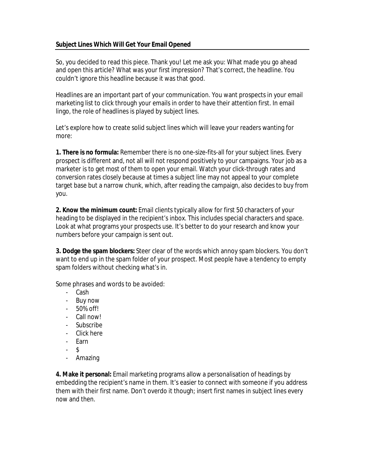So, you decided to read this piece. Thank you! Let me ask you: What made you go ahead and open this article? What was your first impression? That's correct, the headline. You couldn't ignore this headline because it was that good.

Headlines are an important part of your communication. You want prospects in your email marketing list to click through your emails in order to have their attention first. In email lingo, the role of headlines is played by subject lines.

Let's explore how to create solid subject lines which will leave your readers wanting for more:

**1. There is no formula:** Remember there is no one-size-fits-all for your subject lines. Every prospect is different and, not all will not respond positively to your campaigns. Your job as a marketer is to get *most* of them to open your email. Watch your click-through rates and conversion rates closely because at times a subject line may not appeal to your complete target base but a narrow chunk, which, after reading the campaign, also decides to buy from you.

**2. Know the minimum count:** Email clients typically allow for first 50 characters of your heading to be displayed in the recipient's inbox. This includes special characters and space. Look at what programs your prospects use. It's better to do your research and know your numbers before your campaign is sent out.

**3. Dodge the spam blockers:** Steer clear of the words which annoy spam blockers. You don't want to end up in the spam folder of your prospect. Most people have a tendency to empty spam folders without checking what's in.

Some phrases and words to be avoided:

- Cash
- Buy now
- 50% off!
- Call now!
- Subscribe
- Click here
- Earn
- $\mathfrak{L}$
- Amazing

**4. Make it personal:** Email marketing programs allow a personalisation of headings by embedding the recipient's name in them. It's easier to connect with someone if you address them with their first name. Don't overdo it though; insert first names in subject lines every now and then.